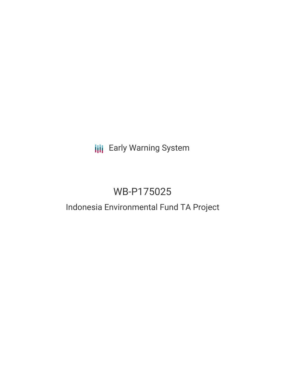# **III** Early Warning System

# WB-P175025

# Indonesia Environmental Fund TA Project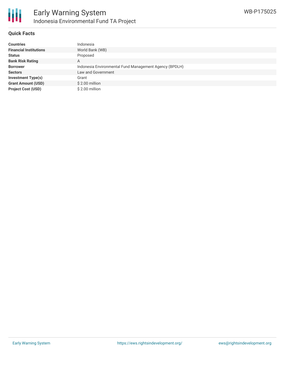

### **Quick Facts**

| <b>Countries</b>              | Indonesia                                              |
|-------------------------------|--------------------------------------------------------|
| <b>Financial Institutions</b> | World Bank (WB)                                        |
| <b>Status</b>                 | Proposed                                               |
| <b>Bank Risk Rating</b>       | Α                                                      |
| <b>Borrower</b>               | Indonesia Environmental Fund Management Agency (BPDLH) |
| <b>Sectors</b>                | Law and Government                                     |
| <b>Investment Type(s)</b>     | Grant                                                  |
| <b>Grant Amount (USD)</b>     | $$2.00$ million                                        |
| <b>Project Cost (USD)</b>     | $$2.00$ million                                        |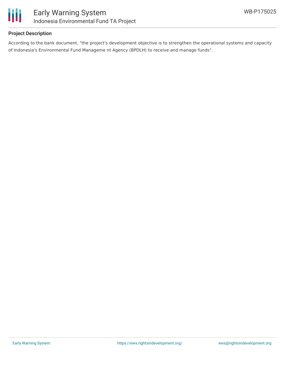

### **Project Description**

According to the bank document, "the project's development objective is to strengthen the operational systems and capacity of Indonesia's Environmental Fund Manageme nt Agency (BPDLH) to receive and manage funds".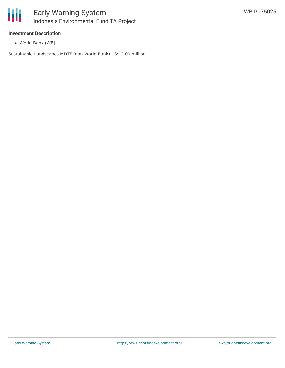

### **Investment Description**

World Bank (WB)

Sustainable Landscapes MDTF (non-World Bank) US\$ 2.00 million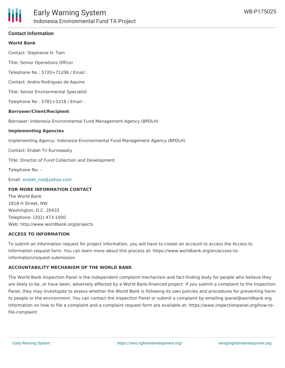#### **World Bank**

Contact: Stephanie H. Tam

Title: Senior Operations Officer

Telephone No : 5720+71206 / Email :

Contact: Andre Rodrigues de Aquino

Title: Senior Environmental Specialist

Telephone No : 5781+3218 / Email :

#### **Borrower/Client/Recipient**

Borrower: Indonesia Environmental Fund Management Agency (BPDLH)

#### **Implementing Agencies**

Implementing Agency: Indonesia Environmental Fund Management Agency (BPDLH)

Contact: Endah Tri Kurniawaty

Title: Director of Fund Collection and Development

Telephone No: -

Email [endah\\_nia@yahoo.com](mailto:endah_nia@yahoo.com)

#### **FOR MORE INFORMATION CONTACT**

The World Bank 1818 H Street, NW Washington, D.C. 20433 Telephone: (202) 473-1000 Web: http://www.worldbank.org/projects

#### **ACCESS TO INFORMATION**

To submit an information request for project information, you will have to create an account to access the Access to Information request form. You can learn more about this process at: https://www.worldbank.org/en/access-toinformation/request-submission

#### **ACCOUNTABILITY MECHANISM OF THE WORLD BANK**

The World Bank Inspection Panel is the independent complaint mechanism and fact-finding body for people who believe they are likely to be, or have been, adversely affected by a World Bank-financed project. If you submit a complaint to the Inspection Panel, they may investigate to assess whether the World Bank is following its own policies and procedures for preventing harm to people or the environment. You can contact the Inspection Panel or submit a complaint by emailing ipanel@worldbank.org. Information on how to file a complaint and a complaint request form are available at: https://www.inspectionpanel.org/how-tofile-complaint